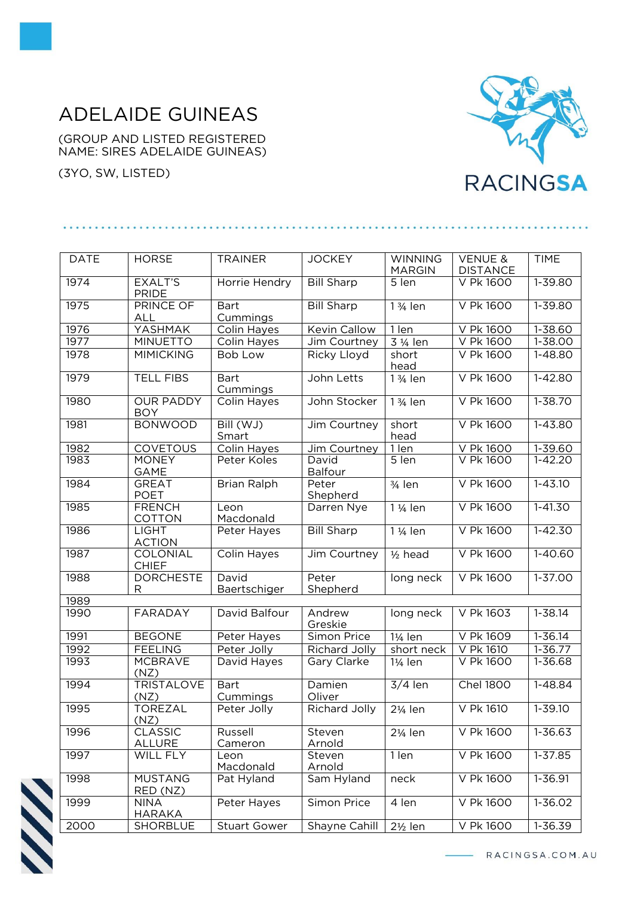## ADELAIDE GUINEAS

(GROUP AND LISTED REGISTERED NAME: SIRES ADELAIDE GUINEAS)

(3YO, SW, LISTED)



| <b>DATE</b> | <b>HORSE</b>                     | <b>TRAINER</b>          | <b>JOCKEY</b>           | <b>WINNING</b><br><b>MARGIN</b> | <b>VENUE &amp;</b><br><b>DISTANCE</b> | <b>TIME</b>           |
|-------------|----------------------------------|-------------------------|-------------------------|---------------------------------|---------------------------------------|-----------------------|
| 1974        | <b>EXALT'S</b><br><b>PRIDE</b>   | Horrie Hendry           | <b>Bill Sharp</b>       | 5 len                           | V Pk 1600                             | $1 - 39.80$           |
| 1975        | <b>PRINCE OF</b><br>ALL          | <b>Bart</b><br>Cummings | <b>Bill Sharp</b>       | 1 3/ <sub>4</sub> len           | V Pk 1600                             | $1 - 39.80$           |
| 1976        | YASHMAK                          | Colin Hayes             | Kevin Callow            | 1 len                           | V Pk 1600                             | 1-38.60               |
| 1977        | <b>MINUETTO</b>                  | Colin Hayes             | Jim Courtney            | 3 1/ <sub>4</sub> len           | <b>V Pk 1600</b>                      | $1 - 38.00$           |
| 1978        | <b>MIMICKING</b>                 | <b>Bob Low</b>          | Ricky Lloyd             | short<br>head                   | V Pk 1600                             | 1-48.80               |
| 1979        | <b>TELL FIBS</b>                 | <b>Bart</b><br>Cummings | John Letts              | 1 3/ <sub>4</sub> len           | V Pk 1600                             | $1 - 42.80$           |
| 1980        | <b>OUR PADDY</b><br><b>BOY</b>   | Colin Hayes             | John Stocker            | 1 3/ <sub>4</sub> len           | V Pk 1600                             | $1 - 38.70$           |
| 1981        | <b>BONWOOD</b>                   | Bill (WJ)<br>Smart      | Jim Courtney            | short<br>head                   | V Pk 1600                             | 1-43.80               |
| 1982        | <b>COVETOUS</b>                  | Colin Hayes             | Jim Courtney            | 1 len                           | V Pk 1600                             | $1 - 39.60$           |
| 1983        | <b>MONEY</b><br><b>GAME</b>      | Peter Koles             | David<br><b>Balfour</b> | 5 len                           | V Pk 1600                             | $1 - 42.20$           |
| 1984        | <b>GREAT</b><br><b>POET</b>      | <b>Brian Ralph</b>      | Peter<br>Shepherd       | $\frac{3}{4}$ len               | <b>V Pk 1600</b>                      | $1 - 43.10$           |
| 1985        | <b>FRENCH</b><br><b>COTTON</b>   | Leon<br>Macdonald       | Darren Nye              | $\overline{1}_{4}$ len          | V Pk 1600                             | $1 - 41.30$           |
| 1986        | <b>LIGHT</b><br><b>ACTION</b>    | Peter Hayes             | <b>Bill Sharp</b>       | 1 1/ <sub>4</sub> len           | <b>V Pk 1600</b>                      | $1 - 42.30$           |
| 1987        | COLONIAL<br><b>CHIEF</b>         | <b>Colin Hayes</b>      | Jim Courtney            | $1/2$ head                      | V Pk 1600                             | $1 - 40.60$           |
| 1988        | <b>DORCHESTE</b><br>$\mathsf{R}$ | David<br>Baertschiger   | Peter<br>Shepherd       | long neck                       | V Pk 1600                             | $1 - 37.00$           |
| 1989        |                                  |                         |                         |                                 |                                       |                       |
| 1990        | <b>FARADAY</b>                   | David Balfour           | Andrew<br>Greskie       | long neck                       | V Pk 1603                             | $1 - 38.14$           |
| 1991        | <b>BEGONE</b>                    | Peter Hayes             | Simon Price             | 11/ <sub>4</sub> len            | V Pk 1609                             | 1-36.14               |
| 1992        | <b>FEELING</b>                   | Peter Jolly             | Richard Jolly           | short neck                      | V Pk 1610                             | $\overline{1}$ -36.77 |
| 1993        | <b>MCBRAVE</b><br>(NZ)           | David Hayes             | Gary Clarke             | $1\frac{1}{4}$ len              | V Pk 1600                             | 1-36.68               |
| 1994        | <b>TRISTALOVE</b><br>(NZ)        | <b>Bart</b><br>Cummings | Damien<br>Oliver        | $3/4$ len                       | <b>Chel 1800</b>                      | 1-48.84               |
| 1995        | <b>TOREZAL</b><br>(NZ)           | Peter Jolly             | <b>Richard Jolly</b>    | 21/ <sub>4</sub> len            | V Pk 1610                             | $1 - 39.10$           |
| 1996        | <b>CLASSIC</b><br>ALLURE         | Russell<br>Cameron      | Steven<br>Arnold        | 21/ <sub>4</sub> len            | V Pk 1600                             | 1-36.63               |
| 1997        | WILL FLY                         | Leon<br>Macdonald       | Steven<br>Arnold        | 1 len                           | V Pk 1600                             | 1-37.85               |
| 1998        | <b>MUSTANG</b><br>RED (NZ)       | Pat Hyland              | Sam Hyland              | neck                            | V Pk 1600                             | 1-36.91               |
| 1999        | <b>NINA</b><br>HARAKA            | Peter Hayes             | Simon Price             | 4 len                           | V Pk 1600                             | 1-36.02               |
| 2000        | <b>SHORBLUE</b>                  | <b>Stuart Gower</b>     | Shayne Cahill           | $2\frac{1}{2}$ len              | V Pk 1600                             | 1-36.39               |



- RACINGSA.COM.AU